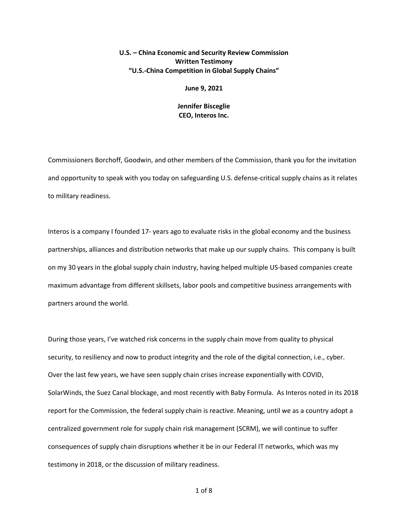## **U.S. – China Economic and Security Review Commission Written Testimony "U.S.-China Competition in Global Supply Chains"**

## **June 9, 2021**

## **Jennifer Bisceglie CEO, Interos Inc.**

Commissioners Borchoff, Goodwin, and other members of the Commission, thank you for the invitation and opportunity to speak with you today on safeguarding U.S. defense-critical supply chains as it relates to military readiness.

Interos is a company I founded 17- years ago to evaluate risks in the global economy and the business partnerships, alliances and distribution networks that make up our supply chains. This company is built on my 30 years in the global supply chain industry, having helped multiple US-based companies create maximum advantage from different skillsets, labor pools and competitive business arrangements with partners around the world.

During those years, I've watched risk concerns in the supply chain move from quality to physical security, to resiliency and now to product integrity and the role of the digital connection, i.e., cyber. Over the last few years, we have seen supply chain crises increase exponentially with COVID, SolarWinds, the Suez Canal blockage, and most recently with Baby Formula. As Interos noted in its 2018 report for the Commission, the federal supply chain is reactive. Meaning, until we as a country adopt a centralized government role for supply chain risk management (SCRM), we will continue to suffer consequences of supply chain disruptions whether it be in our Federal IT networks, which was my testimony in 2018, or the discussion of military readiness.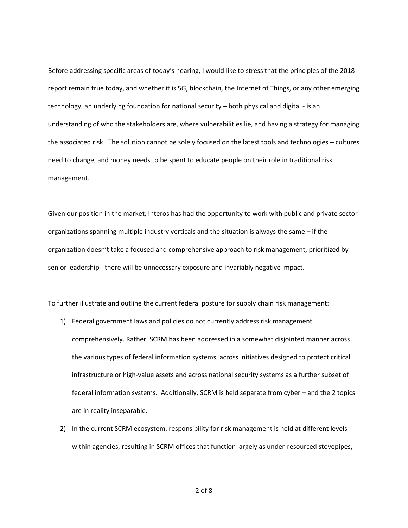Before addressing specific areas of today's hearing, I would like to stress that the principles of the 2018 report remain true today, and whether it is 5G, blockchain, the Internet of Things, or any other emerging technology, an underlying foundation for national security – both physical and digital - is an understanding of who the stakeholders are, where vulnerabilities lie, and having a strategy for managing the associated risk. The solution cannot be solely focused on the latest tools and technologies – cultures need to change, and money needs to be spent to educate people on their role in traditional risk management.

Given our position in the market, Interos has had the opportunity to work with public and private sector organizations spanning multiple industry verticals and the situation is always the same – if the organization doesn't take a focused and comprehensive approach to risk management, prioritized by senior leadership - there will be unnecessary exposure and invariably negative impact.

To further illustrate and outline the current federal posture for supply chain risk management:

- 1) Federal government laws and policies do not currently address risk management comprehensively. Rather, SCRM has been addressed in a somewhat disjointed manner across the various types of federal information systems, across initiatives designed to protect critical infrastructure or high-value assets and across national security systems as a further subset of federal information systems. Additionally, SCRM is held separate from cyber – and the 2 topics are in reality inseparable.
- 2) In the current SCRM ecosystem, responsibility for risk management is held at different levels within agencies, resulting in SCRM offices that function largely as under-resourced stovepipes,

2 of 8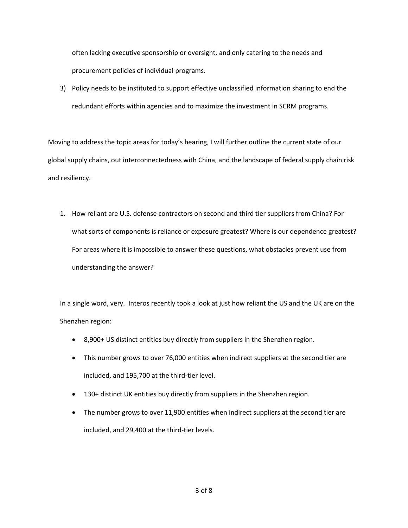often lacking executive sponsorship or oversight, and only catering to the needs and procurement policies of individual programs.

3) Policy needs to be instituted to support effective unclassified information sharing to end the redundant efforts within agencies and to maximize the investment in SCRM programs.

Moving to address the topic areas for today's hearing, I will further outline the current state of our global supply chains, out interconnectedness with China, and the landscape of federal supply chain risk and resiliency.

1. How reliant are U.S. defense contractors on second and third tier suppliers from China? For what sorts of components is reliance or exposure greatest? Where is our dependence greatest? For areas where it is impossible to answer these questions, what obstacles prevent use from understanding the answer?

In a single word, very. Interos recently took a look at just how reliant the US and the UK are on the Shenzhen region:

- 8,900+ US distinct entities buy directly from suppliers in the Shenzhen region.
- This number grows to over 76,000 entities when indirect suppliers at the second tier are included, and 195,700 at the third-tier level.
- 130+ distinct UK entities buy directly from suppliers in the Shenzhen region.
- The number grows to over 11,900 entities when indirect suppliers at the second tier are included, and 29,400 at the third-tier levels.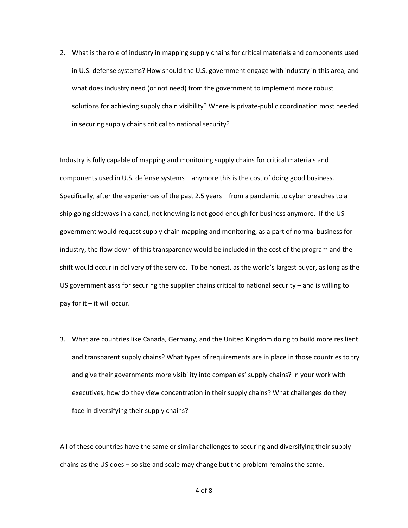2. What is the role of industry in mapping supply chains for critical materials and components used in U.S. defense systems? How should the U.S. government engage with industry in this area, and what does industry need (or not need) from the government to implement more robust solutions for achieving supply chain visibility? Where is private-public coordination most needed in securing supply chains critical to national security?

Industry is fully capable of mapping and monitoring supply chains for critical materials and components used in U.S. defense systems – anymore this is the cost of doing good business. Specifically, after the experiences of the past 2.5 years – from a pandemic to cyber breaches to a ship going sideways in a canal, not knowing is not good enough for business anymore. If the US government would request supply chain mapping and monitoring, as a part of normal business for industry, the flow down of this transparency would be included in the cost of the program and the shift would occur in delivery of the service. To be honest, as the world's largest buyer, as long as the US government asks for securing the supplier chains critical to national security – and is willing to pay for it – it will occur.

3. What are countries like Canada, Germany, and the United Kingdom doing to build more resilient and transparent supply chains? What types of requirements are in place in those countries to try and give their governments more visibility into companies' supply chains? In your work with executives, how do they view concentration in their supply chains? What challenges do they face in diversifying their supply chains?

All of these countries have the same or similar challenges to securing and diversifying their supply chains as the US does – so size and scale may change but the problem remains the same.

4 of 8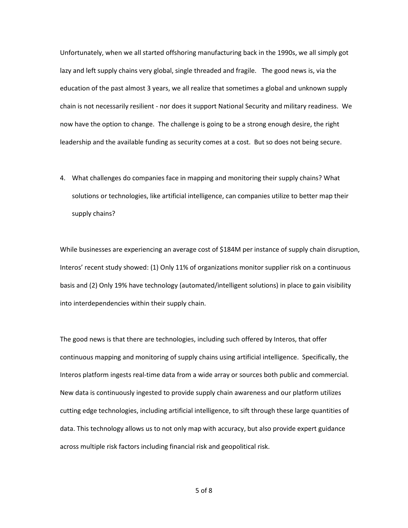Unfortunately, when we all started offshoring manufacturing back in the 1990s, we all simply got lazy and left supply chains very global, single threaded and fragile. The good news is, via the education of the past almost 3 years, we all realize that sometimes a global and unknown supply chain is not necessarily resilient - nor does it support National Security and military readiness. We now have the option to change. The challenge is going to be a strong enough desire, the right leadership and the available funding as security comes at a cost. But so does not being secure.

4. What challenges do companies face in mapping and monitoring their supply chains? What solutions or technologies, like artificial intelligence, can companies utilize to better map their supply chains?

While businesses are experiencing an average cost of \$184M per instance of supply chain disruption, Interos' recent study showed: (1) Only 11% of organizations monitor supplier risk on a continuous basis and (2) Only 19% have technology (automated/intelligent solutions) in place to gain visibility into interdependencies within their supply chain.

The good news is that there are technologies, including such offered by Interos, that offer continuous mapping and monitoring of supply chains using artificial intelligence. Specifically, the Interos platform ingests real-time data from a wide array or sources both public and commercial. New data is continuously ingested to provide supply chain awareness and our platform utilizes cutting edge technologies, including artificial intelligence, to sift through these large quantities of data. This technology allows us to not only map with accuracy, but also provide expert guidance across multiple risk factors including financial risk and geopolitical risk.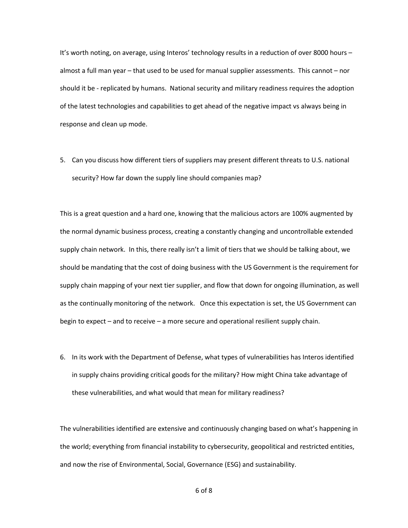It's worth noting, on average, using Interos' technology results in a reduction of over 8000 hours – almost a full man year – that used to be used for manual supplier assessments. This cannot – nor should it be - replicated by humans. National security and military readiness requires the adoption of the latest technologies and capabilities to get ahead of the negative impact vs always being in response and clean up mode.

5. Can you discuss how different tiers of suppliers may present different threats to U.S. national security? How far down the supply line should companies map?

This is a great question and a hard one, knowing that the malicious actors are 100% augmented by the normal dynamic business process, creating a constantly changing and uncontrollable extended supply chain network. In this, there really isn't a limit of tiers that we should be talking about, we should be mandating that the cost of doing business with the US Government is the requirement for supply chain mapping of your next tier supplier, and flow that down for ongoing illumination, as well as the continually monitoring of the network. Once this expectation is set, the US Government can begin to expect – and to receive – a more secure and operational resilient supply chain.

6. In its work with the Department of Defense, what types of vulnerabilities has Interos identified in supply chains providing critical goods for the military? How might China take advantage of these vulnerabilities, and what would that mean for military readiness?

The vulnerabilities identified are extensive and continuously changing based on what's happening in the world; everything from financial instability to cybersecurity, geopolitical and restricted entities, and now the rise of Environmental, Social, Governance (ESG) and sustainability.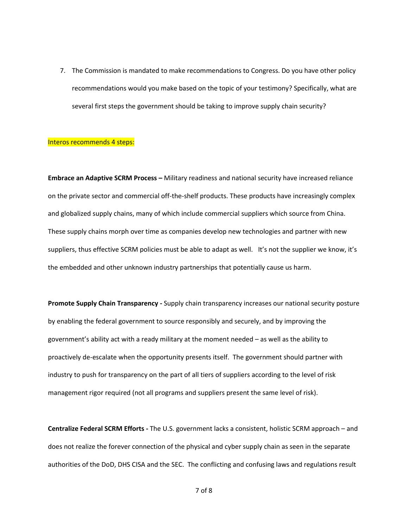7. The Commission is mandated to make recommendations to Congress. Do you have other policy recommendations would you make based on the topic of your testimony? Specifically, what are several first steps the government should be taking to improve supply chain security?

## Interos recommends 4 steps:

**Embrace an Adaptive SCRM Process –** Military readiness and national security have increased reliance on the private sector and commercial off-the-shelf products. These products have increasingly complex and globalized supply chains, many of which include commercial suppliers which source from China. These supply chains morph over time as companies develop new technologies and partner with new suppliers, thus effective SCRM policies must be able to adapt as well. It's not the supplier we know, it's the embedded and other unknown industry partnerships that potentially cause us harm.

**Promote Supply Chain Transparency -** Supply chain transparency increases our national security posture by enabling the federal government to source responsibly and securely, and by improving the government's ability act with a ready military at the moment needed – as well as the ability to proactively de-escalate when the opportunity presents itself. The government should partner with industry to push for transparency on the part of all tiers of suppliers according to the level of risk management rigor required (not all programs and suppliers present the same level of risk).

**Centralize Federal SCRM Efforts -** The U.S. government lacks a consistent, holistic SCRM approach – and does not realize the forever connection of the physical and cyber supply chain as seen in the separate authorities of the DoD, DHS CISA and the SEC. The conflicting and confusing laws and regulations result